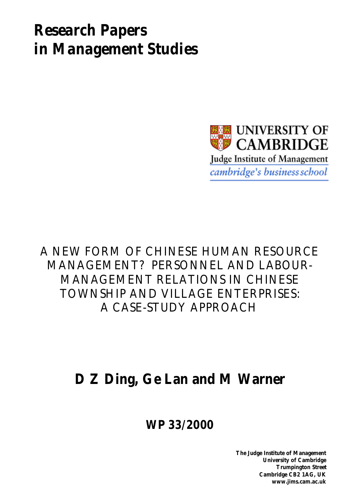# *Research Papers in Management Studies*



A NEW FORM OF CHINESE HUMAN RESOURCE MANAGEMENT? PERSONNEL AND LABOUR-MANAGEMENT RELATIONS IN CHINESE TOWNSHIP AND VILLAGE ENTERPRISES: A CASE-STUDY APPROACH

# **D Z Ding, Ge Lan and M Warner**

**WP 33/2000**

**The Judge Institute of Management University of Cambridge Trumpington Street Cambridge CB2 1AG, UK www.jims.cam.ac.uk**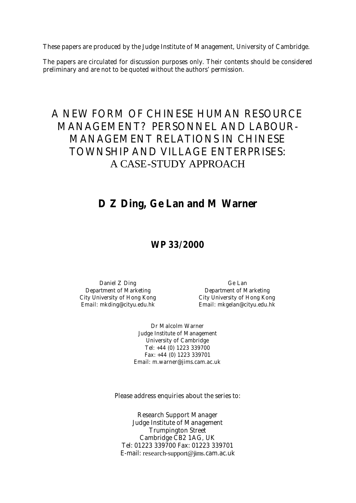These papers are produced by the Judge Institute of Management, University of Cambridge.

The papers are circulated for discussion purposes only. Their contents should be considered preliminary and are not to be quoted without the authors' permission.

# A NEW FORM OF CHINESE HUMAN RESOURCE MANAGEMENT? PERSONNEL AND LABOUR-MANAGEMENT RELATIONS IN CHINESE TOWNSHIP AND VILLAGE ENTERPRISES: A CASE-STUDY APPROACH

# **D Z Ding, Ge Lan and M Warner**

### **WP 33/2000**

Daniel Z Ding Ge Lan Department of Marketing<br>
City University of Hong Kong<br>
City University of Hong Kong<br>
City University of Hong Kong Email: mkding@cityu.edu.hk Email: mkgelan@cityu.edu.hk

City University of Hong Kong City University of Hong Kong

Dr Malcolm Warner Judge Institute of Management University of Cambridge Tel: +44 (0) 1223 339700 Fax: +44 (0) 1223 339701 Email: m.warner@jims.cam.ac.uk

Please address enquiries about the series to:

Research Support Manager Judge Institute of Management Trumpington Street Cambridge CB2 1AG, UK Tel: 01223 339700 Fax: 01223 339701 E-mail: research-support@jims.cam.ac.uk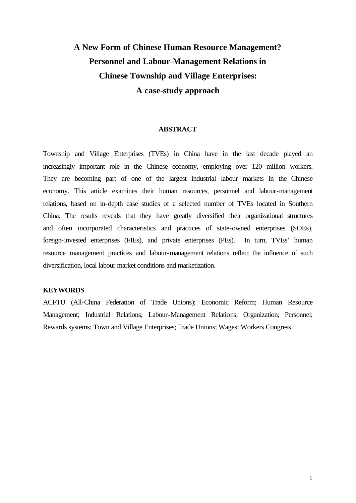# **A New Form of Chinese Human Resource Management? Personnel and Labour-Management Relations in Chinese Township and Village Enterprises: A case-study approach**

#### **ABSTRACT**

Township and Village Enterprises (TVEs) in China have in the last decade played an increasingly important role in the Chinese economy, employing over 120 million workers. They are becoming part of one of the largest industrial labour markets in the Chinese economy. This article examines their human resources, personnel and labour-management relations, based on in-depth case studies of a selected number of TVEs located in Southern China. The results reveals that they have greatly diversified their organizational structures and often incorporated characteristics and practices of state-owned enterprises (SOEs), foreign-invested enterprises (FIEs), and private enterprises (PEs). In turn, TVEs' human resource management practices and labour-management relations reflect the influence of such diversification, local labour market conditions and marketization.

#### **KEYWORDS**

ACFTU (All-China Federation of Trade Unions); Economic Reform; Human Resource Management; Industrial Relations; Labour-Management Relations; Organization; Personnel; Rewards systems; Town and Village Enterprises; Trade Unions; Wages; Workers Congress.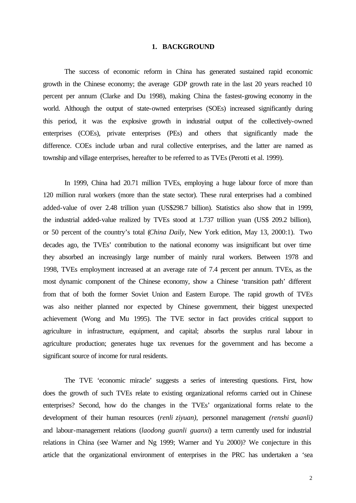#### **1. BACKGROUND**

The success of economic reform in China has generated sustained rapid economic growth in the Chinese economy; the average GDP growth rate in the last 20 years reached 10 percent per annum (Clarke and Du 1998), making China the fastest-growing economy in the world. Although the output of state-owned enterprises (SOEs) increased significantly during this period, it was the explosive growth in industrial output of the collectively-owned enterprises (COEs), private enterprises (PEs) and others that significantly made the difference. COEs include urban and rural collective enterprises, and the latter are named as township and village enterprises, hereafter to be referred to as TVEs (Perotti et al. 1999).

In 1999, China had 20.71 million TVEs, employing a huge labour force of more than 120 million rural workers (more than the state sector). These rural enterprises had a combined added-value of over 2.48 trillion yuan (US\$298.7 billion). Statistics also show that in 1999, the industrial added-value realized by TVEs stood at 1.737 trillion yuan (US\$ 209.2 billion), or 50 percent of the country's total (*China Daily*, New York edition, May 13, 2000:1). Two decades ago, the TVEs' contribution to the national economy was insignificant but over time they absorbed an increasingly large number of mainly rural workers. Between 1978 and 1998, TVEs employment increased at an average rate of 7.4 percent per annum. TVEs, as the most dynamic component of the Chinese economy, show a Chinese 'transition path' different from that of both the former Soviet Union and Eastern Europe. The rapid growth of TVEs was also neither planned nor expected by Chinese government, their biggest unexpected achievement (Wong and Mu 1995). The TVE sector in fact provides critical support to agriculture in infrastructure, equipment, and capital; absorbs the surplus rural labour in agriculture production; generates huge tax revenues for the government and has become a significant source of income for rural residents.

The TVE 'economic miracle' suggests a series of interesting questions. First, how does the growth of such TVEs relate to existing organizational reforms carried out in Chinese enterprises? Second, how do the changes in the TVEs' organizational forms relate to the development of their human resources (*renli ziyuan),* personnel management *(renshi guanli)* and labour-management relations (*laodong guanli guanxi*) a term currently used for industrial relations in China (see Warner and Ng 1999; Warner and Yu 2000)? We conjecture in this article that the organizational environment of enterprises in the PRC has undertaken a 'sea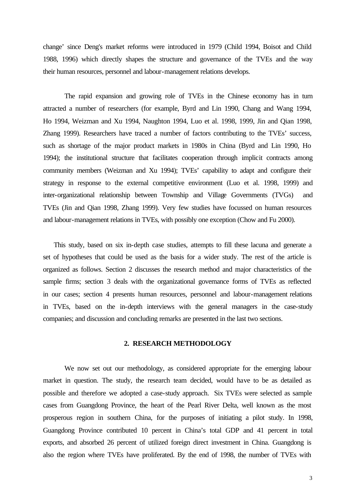change' since Deng's market reforms were introduced in 1979 (Child 1994, Boisot and Child 1988, 1996) which directly shapes the structure and governance of the TVEs and the way their human resources, personnel and labour-management relations develops.

The rapid expansion and growing role of TVEs in the Chinese economy has in turn attracted a number of researchers (for example, Byrd and Lin 1990, Chang and Wang 1994, Ho 1994, Weizman and Xu 1994, Naughton 1994, Luo et al. 1998, 1999, Jin and Qian 1998, Zhang 1999). Researchers have traced a number of factors contributing to the TVEs' success, such as shortage of the major product markets in 1980s in China (Byrd and Lin 1990, Ho 1994); the institutional structure that facilitates cooperation through implicit contracts among community members (Weizman and Xu 1994); TVEs' capability to adapt and configure their strategy in response to the external competitive environment (Luo et al. 1998, 1999) and inter-organizational relationship between Township and Village Governments (TVGs) and TVEs (Jin and Qian 1998, Zhang 1999). Very few studies have focussed on human resources and labour-management relations in TVEs, with possibly one exception (Chow and Fu 2000).

This study, based on six in-depth case studies, attempts to fill these lacuna and generate a set of hypotheses that could be used as the basis for a wider study. The rest of the article is organized as follows. Section 2 discusses the research method and major characteristics of the sample firms; section 3 deals with the organizational governance forms of TVEs as reflected in our cases; section 4 presents human resources, personnel and labour-management relations in TVEs, based on the in-depth interviews with the general managers in the case-study companies; and discussion and concluding remarks are presented in the last two sections.

#### **2. RESEARCH METHODOLOGY**

We now set out our methodology, as considered appropriate for the emerging labour market in question. The study, the research team decided, would have to be as detailed as possible and therefore we adopted a case-study approach. Six TVEs were selected as sample cases from Guangdong Province, the heart of the Pearl River Delta, well known as the most prosperous region in southern China, for the purposes of initiating a pilot study. In 1998, Guangdong Province contributed 10 percent in China's total GDP and 41 percent in total exports, and absorbed 26 percent of utilized foreign direct investment in China. Guangdong is also the region where TVEs have proliferated. By the end of 1998, the number of TVEs with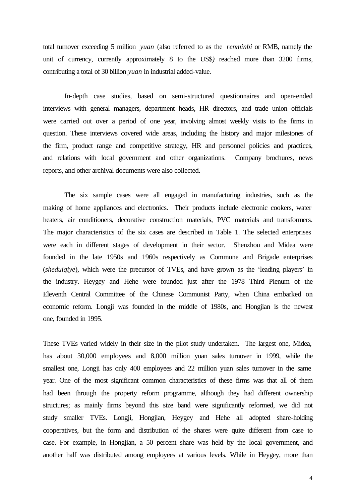total turnover exceeding 5 million *yuan* (also referred to as the *renminbi* or RMB, namely the unit of currency, currently approximately 8 to the US\$*)* reached more than 3200 firms, contributing a total of 30 billion *yuan* in industrial added-value.

In-depth case studies, based on semi-structured questionnaires and open-ended interviews with general managers, department heads, HR directors, and trade union officials were carried out over a period of one year, involving almost weekly visits to the firms in question. These interviews covered wide areas, including the history and major milestones of the firm, product range and competitive strategy, HR and personnel policies and practices, and relations with local government and other organizations. Company brochures, news reports, and other archival documents were also collected.

 The six sample cases were all engaged in manufacturing industries, such as the making of home appliances and electronics. Their products include electronic cookers, water heaters, air conditioners, decorative construction materials, PVC materials and transformers. The major characteristics of the six cases are described in Table 1. The selected enterprises were each in different stages of development in their sector. Shenzhou and Midea were founded in the late 1950s and 1960s respectively as Commune and Brigade enterprises (*sheduiqiye*), which were the precursor of TVEs, and have grown as the 'leading players' in the industry. Heygey and Hehe were founded just after the 1978 Third Plenum of the Eleventh Central Committee of the Chinese Communist Party, when China embarked on economic reform. Longji was founded in the middle of 1980s, and Hongjian is the newest one, founded in 1995.

These TVEs varied widely in their size in the pilot study undertaken. The largest one, Midea, has about 30,000 employees and 8,000 million yuan sales turnover in 1999, while the smallest one, Longji has only 400 employees and 22 million yuan sales turnover in the same year. One of the most significant common characteristics of these firms was that all of them had been through the property reform programme, although they had different ownership structures; as mainly firms beyond this size band were significantly reformed, we did not study smaller TVEs. Longji, Hongjian, Heygey and Hehe all adopted share-holding cooperatives, but the form and distribution of the shares were quite different from case to case. For example, in Hongjian, a 50 percent share was held by the local government, and another half was distributed among employees at various levels. While in Heygey, more than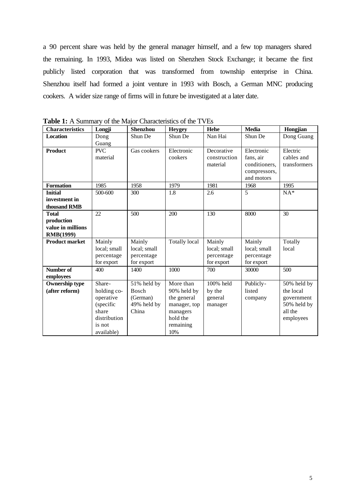a 90 percent share was held by the general manager himself, and a few top managers shared the remaining. In 1993, Midea was listed on Shenzhen Stock Exchange; it became the first publicly listed corporation that was transformed from township enterprise in China. Shenzhou itself had formed a joint venture in 1993 with Bosch, a German MNC producing cookers. A wider size range of firms will in future be investigated at a later date.

| <b>Characteristics</b>                                              | Longji                                                                                           | <b>Shenzhou</b>                                                 | <b>Heygey</b>                                                                                       | Hehe                                               | <b>Media</b>                                                           | Hongjian                                                                      |
|---------------------------------------------------------------------|--------------------------------------------------------------------------------------------------|-----------------------------------------------------------------|-----------------------------------------------------------------------------------------------------|----------------------------------------------------|------------------------------------------------------------------------|-------------------------------------------------------------------------------|
| <b>Location</b>                                                     | Dong<br>Guang                                                                                    | Shun De                                                         | Shun De                                                                                             | Nan Hai                                            | Shun De                                                                | Dong Guang                                                                    |
| <b>Product</b>                                                      | <b>PVC</b><br>material                                                                           | Gas cookers                                                     | Electronic<br>cookers                                                                               | Decorative<br>construction<br>material             | Electronic<br>fans, air<br>conditioners,<br>compressors,<br>and motors | Electric<br>cables and<br>transformers                                        |
| <b>Formation</b>                                                    | 1985                                                                                             | 1958                                                            | 1979                                                                                                | 1981                                               | 1968                                                                   | 1995                                                                          |
| <b>Initial</b><br>investment in<br>thousand RMB                     | 500-600                                                                                          | 300                                                             | 1.8                                                                                                 | 2.6                                                | 5                                                                      | $NA*$                                                                         |
| <b>Total</b><br>production<br>value in millions<br><b>RMB(1999)</b> | 22                                                                                               | 500                                                             | 200                                                                                                 | 130                                                | 8000                                                                   | 30                                                                            |
| <b>Product market</b>                                               | Mainly<br>local; small<br>percentage<br>for export                                               | Mainly<br>local; small<br>percentage<br>for export              | <b>Totally local</b>                                                                                | Mainly<br>local; small<br>percentage<br>for export | Mainly<br>local; small<br>percentage<br>for export                     | Totally<br>local                                                              |
| Number of<br>employees                                              | 400                                                                                              | 1400                                                            | 1000                                                                                                | 700                                                | 30000                                                                  | 500                                                                           |
| <b>Ownership type</b><br>(after reform)                             | Share-<br>holding co-<br>operative<br>(specific<br>share<br>distribution<br>is not<br>available) | 51% held by<br><b>Bosch</b><br>(German)<br>49% held by<br>China | More than<br>90% held by<br>the general<br>manager, top<br>managers<br>hold the<br>remaining<br>10% | 100% held<br>by the<br>general<br>manager          | Publicly-<br>listed<br>company                                         | 50% held by<br>the local<br>government<br>50% held by<br>all the<br>employees |

**Table 1:** A Summary of the Major Characteristics of the TVEs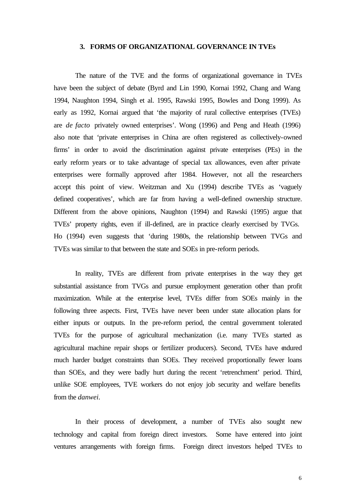#### **3. FORMS OF ORGANIZATIONAL GOVERNANCE IN TVEs**

The nature of the TVE and the forms of organizational governance in TVEs have been the subject of debate (Byrd and Lin 1990, Kornai 1992, Chang and Wang 1994, Naughton 1994, Singh et al. 1995, Rawski 1995, Bowles and Dong 1999). As early as 1992, Kornai argued that 'the majority of rural collective enterprises (TVEs) are *de facto* privately owned enterprises'. Wong (1996) and Peng and Heath (1996) also note that 'private enterprises in China are often registered as collectively-owned firms' in order to avoid the discrimination against private enterprises (PEs) in the early reform years or to take advantage of special tax allowances, even after private enterprises were formally approved after 1984. However, not all the researchers accept this point of view. Weitzman and Xu (1994) describe TVEs as 'vaguely defined cooperatives', which are far from having a well-defined ownership structure. Different from the above opinions, Naughton (1994) and Rawski (1995) argue that TVEs' property rights, even if ill-defined, are in practice clearly exercised by TVGs. Ho (1994) even suggests that 'during 1980s, the relationship between TVGs and TVEs was similar to that between the state and SOEs in pre-reform periods.

In reality, TVEs are different from private enterprises in the way they get substantial assistance from TVGs and pursue employment generation other than profit maximization. While at the enterprise level, TVEs differ from SOEs mainly in the following three aspects. First, TVEs have never been under state allocation plans for either inputs or outputs. In the pre-reform period, the central government tolerated TVEs for the purpose of agricultural mechanization (i.e. many TVEs started as agricultural machine repair shops or fertilizer producers). Second, TVEs have endured much harder budget constraints than SOEs. They received proportionally fewer loans than SOEs, and they were badly hurt during the recent 'retrenchment' period. Third, unlike SOE employees, TVE workers do not enjoy job security and welfare benefits from the *danwei*.

In their process of development, a number of TVEs also sought new technology and capital from foreign direct investors. Some have entered into joint ventures arrangements with foreign firms. Foreign direct investors helped TVEs to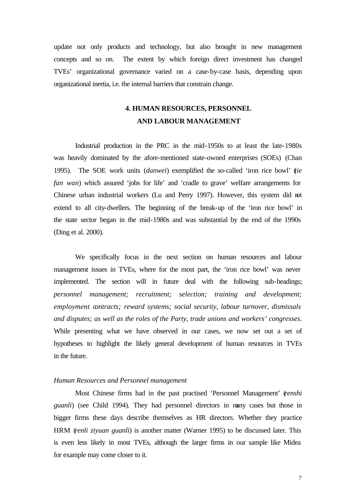update not only products and technology, but also brought in new management concepts and so on. The extent by which foreign direct investment has changed TVEs' organizational governance varied on a case-by-case basis, depending upon organizational inertia, i.e. the internal barriers that constrain change.

# **4. HUMAN RESOURCES, PERSONNEL AND LABOUR MANAGEMENT**

Industrial production in the PRC in the mid-1950s to at least the late-1980s was heavily dominated by the afore-mentioned state-owned enterprises (SOEs) (Chan 1995). The SOE work units (*danwei*) exemplified the so-called 'iron rice bowl' (*tie fan wan*) which assured 'jobs for life' and 'cradle to grave' welfare arrangements for Chinese urban industrial workers (Lu and Perry 1997). However, this system did not extend to all city-dwellers. The beginning of the break-up of the 'iron rice bowl' in the state sector began in the mid-1980s and was substantial by the end of the 1990s (Ding et al. 2000).

We specifically focus in the next section on human resources and labour management issues in TVEs, where for the most part, the 'iron rice bowl' was never implemented. The section will in future deal with the following sub-headings; *personnel management; recruitment; selection; training and development; employment contracts; reward systems; social security, labour turnover, dismissals and disputes; as well as the roles of the Party, trade unions and workers' congresses*. While presenting what we have observed in our cases, we now set out a set of hypotheses to highlight the likely general development of human resources in TVEs in the future.

#### *Human Resources and Personnel management*

Most Chinese firms had in the past practised 'Personnel Management' (*renshi guanli*) (see Child 1994). They had personnel directors in many cases but those in bigger firms these days describe themselves as HR directors. Whether they practice HRM (*renli ziyuan guanli*) is another matter (Warner 1995) to be discussed later. This is even less likely in most TVEs, although the larger firms in our sample like Midea for example may come closer to it.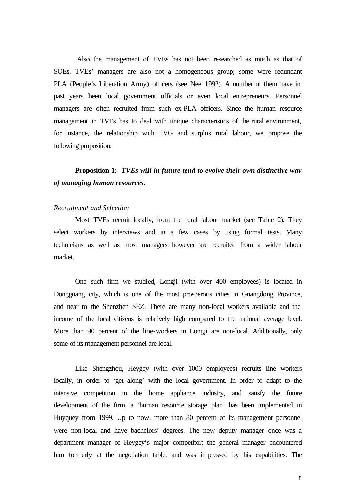Also the management of TVEs has not been researched as much as that of SOEs. TVEs' managers are also not a homogeneous group; some were redundant PLA (People's Liberation Army) officers (see Nee 1992). A number of them have in past years been local government officials or even local entrepreneurs. Personnel managers are often recruited from such ex-PLA officers. Since the human resource management in TVEs has to deal with unique characteristics of the rural environment, for instance, the relationship with TVG and surplus rural labour, we propose the following proposition:

# **Proposition 1:** *TVEs will in future tend to evolve their own distinctive way of managing human resources.*

#### *Recruitment and Selection*

 Most TVEs recruit locally, from the rural labour market (see Table 2). They select workers by interviews and in a few cases by using formal tests. Many technicians as well as most managers however are recruited from a wider labour market.

One such firm we studied, Longji (with over 400 employees) is located in Dongguang city, which is one of the most prosperous cities in Guangdong Province, and near to the Shenzhen SEZ. There are many non-local workers available and the income of the local citizens is relatively high compared to the national average level. More than 90 percent of the line-workers in Longji are non-local. Additionally, only some of its management personnel are local.

Like Shengzhou, Heygey (with over 1000 employees) recruits line workers locally, in order to 'get along' with the local government. In order to adapt to the intensive competition in the home appliance industry, and satisfy the future development of the firm, a 'human resource storage plan' has been implemented in Huyquey from 1999. Up to now, more than 80 percent of its management personnel were non-local and have bachelors' degrees. The new deputy manager once was a department manager of Heygey's major competitor; the general manager encountered him formerly at the negotiation table, and was impressed by his capabilities. The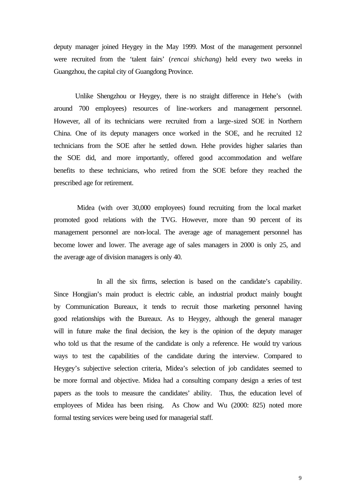deputy manager joined Heygey in the May 1999. Most of the management personnel were recruited from the 'talent fairs' (*rencai shichang*) held every two weeks in Guangzhou, the capital city of Guangdong Province.

Unlike Shengzhou or Heygey, there is no straight difference in Hehe's (with around 700 employees) resources of line-workers and management personnel. However, all of its technicians were recruited from a large-sized SOE in Northern China. One of its deputy managers once worked in the SOE, and he recruited 12 technicians from the SOE after he settled down. Hehe provides higher salaries than the SOE did, and more importantly, offered good accommodation and welfare benefits to these technicians, who retired from the SOE before they reached the prescribed age for retirement.

 Midea (with over 30,000 employees) found recruiting from the local market promoted good relations with the TVG. However, more than 90 percent of its management personnel are non-local. The average age of management personnel has become lower and lower. The average age of sales managers in 2000 is only 25, and the average age of division managers is only 40.

In all the six firms, selection is based on the candidate's capability. Since Hongjian's main product is electric cable, an industrial product mainly bought by Communication Bureaux, it tends to recruit those marketing personnel having good relationships with the Bureaux. As to Heygey, although the general manager will in future make the final decision, the key is the opinion of the deputy manager who told us that the resume of the candidate is only a reference. He would try various ways to test the capabilities of the candidate during the interview. Compared to Heygey's subjective selection criteria, Midea's selection of job candidates seemed to be more formal and objective. Midea had a consulting company design a series of test papers as the tools to measure the candidates' ability. Thus, the education level of employees of Midea has been rising. As Chow and Wu (2000: 825) noted more formal testing services were being used for managerial staff.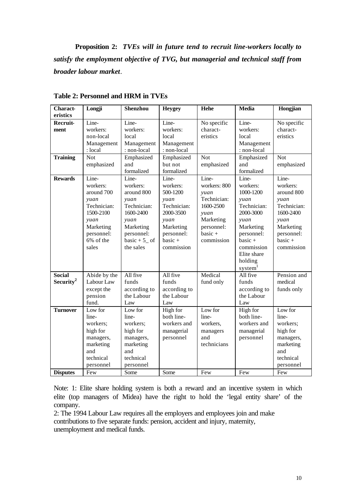**Proposition 2:** *TVEs will in future tend to recruit line-workers locally to satisfy the employment objective of TVG, but managerial and technical staff from broader labour market.*

| <b>Charact-</b>       | Longji       | <b>Shenzhou</b> | <b>Heygey</b> | Hehe         | <b>Media</b> | Hongjian    |
|-----------------------|--------------|-----------------|---------------|--------------|--------------|-------------|
| eristics              |              |                 |               |              |              |             |
| Recruit-              | Line-        | Line-           | Line-         | No specific  | Line-        | No specific |
| ment                  | workers:     | workers:        | workers:      | charact-     | workers:     | charact-    |
|                       | non-local    | local           | local         | eristics     | local        | eristics    |
|                       | Management   | Management      | Management    |              | Management   |             |
|                       | : local      | : non-local     | : non-local   |              | : non-local  |             |
| <b>Training</b>       | Not          | Emphasized      | Emphasized    | <b>Not</b>   | Emphasized   | <b>Not</b>  |
|                       | emphasized   | and             | but not       | emphasized   | and          | emphasized  |
|                       |              | formalized      | formalized    |              | formalized   |             |
| <b>Rewards</b>        | Line-        | Line-           | Line-         | Line-        | Line-        | Line-       |
|                       | workers:     | workers:        | workers:      | workers: 800 | workers:     | workers:    |
|                       | around 700   | around 800      | 500-1200      | yuan         | 1000-1200    | around 800  |
|                       | yuan         | yuan            | yuan          | Technician:  | yuan         | yuan        |
|                       | Technician:  | Technician:     | Technician:   | 1600-2500    | Technician:  | Technician: |
|                       | 1500-2100    | 1600-2400       | 2000-3500     | yuan         | 2000-3000    | 1600-2400   |
|                       | yuan         | yuan            | yuan          | Marketing    | yuan         | yuan        |
|                       | Marketing    | Marketing       | Marketing     | personnel:   | Marketing    | Marketing   |
|                       | personnel:   | personnel:      | personnel:    | $basic +$    | personnel:   | personnel:  |
|                       | 6% of the    | basic + $5$ of  | $basic +$     | commission   | $basic +$    | $basic +$   |
|                       | sales        | the sales       | commission    |              | commission   | commission  |
|                       |              |                 |               |              | Elite share  |             |
|                       |              |                 |               |              | holding      |             |
|                       |              |                 |               |              | system       |             |
| <b>Social</b>         | Abide by the | All five        | All five      | Medical      | All five     | Pension and |
| Security <sup>2</sup> | Labour Law   | funds           | funds         | fund only    | funds        | medical     |
|                       | except the   | according to    | according to  |              | according to | funds only  |
|                       | pension      | the Labour      | the Labour    |              | the Labour   |             |
|                       | fund.        | Law             | Law           |              | Law          |             |
| <b>Turnover</b>       | Low for      | Low for         | High for      | Low for      | High for     | Low for     |
|                       | line-        | line-           | both line-    | line-        | both line-   | line-       |
|                       | workers;     | workers;        | workers and   | workers,     | workers and  | workers;    |
|                       | high for     | high for        | managerial    | managers     | managerial   | high for    |
|                       | managers,    | managers,       | personnel     | and          | personnel    | managers,   |
|                       | marketing    | marketing       |               | technicians  |              | marketing   |
|                       | and          | and             |               |              |              | and         |
|                       | technical    | technical       |               |              |              | technical   |
|                       | personnel    | personnel       |               |              |              | personnel   |
| <b>Disputes</b>       | Few          | Some            | Some          | Few          | Few          | Few         |

**Table 2: Personnel and HRM in TVEs**

Note: 1: Elite share holding system is both a reward and an incentive system in which elite (top managers of Midea) have the right to hold the 'legal entity share' of the company.

2: The 1994 Labour Law requires all the employers and employees join and make contributions to five separate funds: pension, accident and injury, maternity, unemployment and medical funds.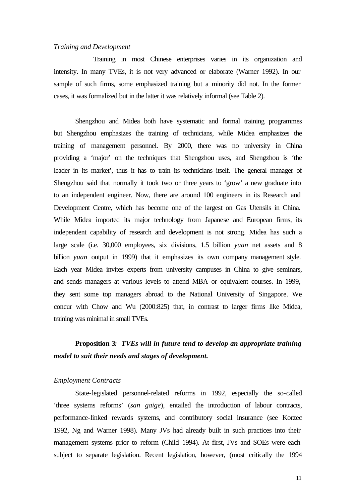#### *Training and Development*

 Training in most Chinese enterprises varies in its organization and intensity. In many TVEs, it is not very advanced or elaborate (Warner 1992). In our sample of such firms, some emphasized training but a minority did not. In the former cases, it was formalized but in the latter it was relatively informal (see Table 2).

Shengzhou and Midea both have systematic and formal training programmes but Shengzhou emphasizes the training of technicians, while Midea emphasizes the training of management personnel. By 2000, there was no university in China providing a 'major' on the techniques that Shengzhou uses, and Shengzhou is 'the leader in its market', thus it has to train its technicians itself. The general manager of Shengzhou said that normally it took two or three years to 'grow' a new graduate into to an independent engineer. Now, there are around 100 engineers in its Research and Development Centre, which has become one of the largest on Gas Utensils in China. While Midea imported its major technology from Japanese and European firms, its independent capability of research and development is not strong. Midea has such a large scale (i.e. 30,000 employees, six divisions, 1.5 billion *yuan* net assets and 8 billion *yuan* output in 1999) that it emphasizes its own company management style. Each year Midea invites experts from university campuses in China to give seminars, and sends managers at various levels to attend MBA or equivalent courses. In 1999, they sent some top managers abroad to the National University of Singapore. We concur with Chow and Wu (2000:825) that, in contrast to larger firms like Midea, training was minimal in small TVEs.

## **Proposition 3***: TVEs will in future tend to develop an appropriate training model to suit their needs and stages of development.*

#### *Employment Contracts*

State-legislated personnel-related reforms in 1992, especially the so-called 'three systems reforms' (*san gaige*), entailed the introduction of labour contracts, performance-linked rewards systems, and contributory social insurance (see Korzec 1992, Ng and Warner 1998). Many JVs had already built in such practices into their management systems prior to reform (Child 1994). At first, JVs and SOEs were each subject to separate legislation. Recent legislation, however, (most critically the 1994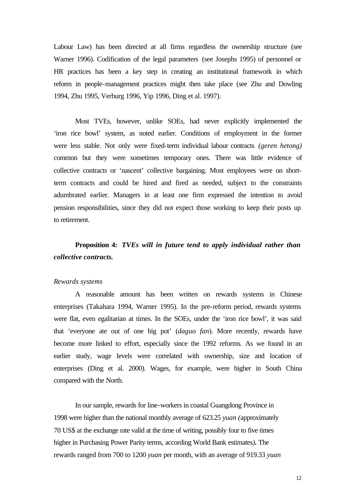Labour Law) has been directed at all firms regardless the ownership structure (see Warner 1996). Codification of the legal parameters (see Josephs 1995) of personnel or HR practices has been a key step in creating an institutional framework in which reform in people-management practices might then take place (see Zhu and Dowling 1994, Zhu 1995, Verburg 1996, Yip 1996, Ding et al. 1997).

Most TVEs, however, unlike SOEs, had never explicitly implemented the 'iron rice bowl' system, as noted earlier. Conditions of employment in the former were less stable. Not only were fixed-term individual labour contracts *(geren hetong)* common but they were sometimes temporary ones. There was little evidence of collective contracts or 'nascent' collective bargaining. Most employees were on shortterm contracts and could be hired and fired as needed, subject to the constraints adumbrated earlier. Managers in at least one firm expressed the intention to avoid pension responsibilities, since they did not expect those working to keep their posts up to retirement.

# **Proposition 4:** *TVEs will in future tend to apply individual rather than collective contracts***.**

#### *Rewards systems*

A reasonable amount has been written on rewards systems in Chinese enterprises (Takahara 1994, Warner 1995). In the pre-reform period, rewards systems were flat, even egalitarian at times. In the SOEs, under the 'iron rice bowl', it was said that 'everyone ate out of one big pot' (*daguo fan*). More recently, rewards have become more linked to effort, especially since the 1992 reforms. As we found in an earlier study, wage levels were correlated with ownership, size and location of enterprises (Ding et al. 2000). Wages, for example, were higher in South China compared with the North.

In our sample, rewards for line-workers in coastal Guangdong Province in 1998 were higher than the national monthly average of 623.25 *yuan (*approximately 70 US\$ at the exchange rate valid at the time of writing, possibly four to five times higher in Purchasing Power Parity terms, according World Bank estimates*)***.** The rewards ranged from 700 to 1200 *yuan* per month, with an average of 919.33 *yuan*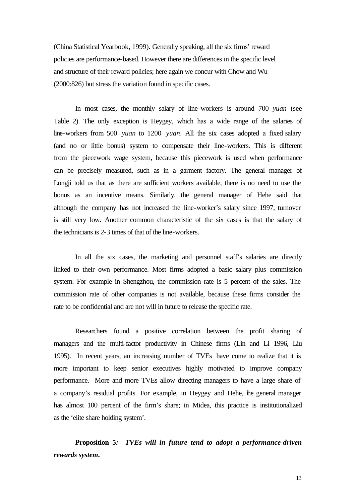(China Statistical Yearbook, 1999)**.** Generally speaking, all the six firms' reward policies are performance-based. However there are differences in the specific level and structure of their reward policies; here again we concur with Chow and Wu (2000:826) but stress the variation found in specific cases.

In most cases, the monthly salary of line-workers is around 700 *yuan* (see Table 2). The only exception is Heygey, which has a wide range of the salaries of line-workers from 500 *yuan* to 1200 *yuan*. All the six cases adopted a fixed salary (and no or little bonus) system to compensate their line-workers. This is different from the piecework wage system, because this piecework is used when performance can be precisely measured, such as in a garment factory. The general manager of Longji told us that as there are sufficient workers available, there is no need to use the bonus as an incentive means. Similarly, the general manager of Hehe said that although the company has not increased the line-worker's salary since 1997, turnover is still very low. Another common characteristic of the six cases is that the salary of the technicians is 2-3 times of that of the line-workers.

In all the six cases, the marketing and personnel staff's salaries are directly linked to their own performance. Most firms adopted a basic salary plus commission system. For example in Shengzhou, the commission rate is 5 percent of the sales. The commission rate of other companies is not available, because these firms consider the rate to be confidential and are not will in future to release the specific rate.

Researchers found a positive correlation between the profit sharing of managers and the multi-factor productivity in Chinese firms (Lin and Li 1996, Liu 1995). In recent years, an increasing number of TVEs have come to realize that it is more important to keep senior executives highly motivated to improve company performance. More and more TVEs allow directing managers to have a large share of a company's residual profits. For example, in Heygey and Hehe, the general manager has almost 100 percent of the firm's share; in Midea, this practice is institutionalized as the 'elite share holding system'.

**Proposition 5***: TVEs will in future tend to adopt a performance-driven rewards system***.**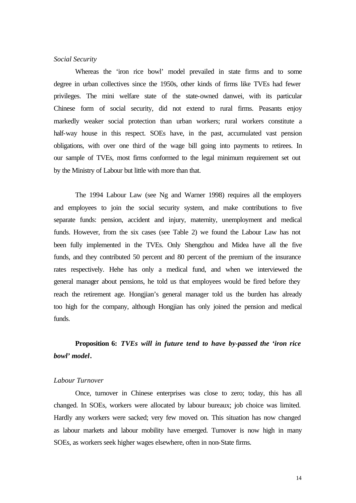#### *Social Security*

Whereas the 'iron rice bowl' model prevailed in state firms and to some degree in urban collectives since the 1950s, other kinds of firms like TVEs had fewer privileges. The mini welfare state of the state-owned danwei, with its particular Chinese form of social security, did not extend to rural firms. Peasants enjoy markedly weaker social protection than urban workers; rural workers constitute a half-way house in this respect. SOEs have, in the past, accumulated vast pension obligations, with over one third of the wage bill going into payments to retirees. In our sample of TVEs, most firms conformed to the legal minimum requirement set out by the Ministry of Labour but little with more than that.

The 1994 Labour Law (see Ng and Warner 1998) requires all the employers and employees to join the social security system, and make contributions to five separate funds: pension, accident and injury, maternity, unemployment and medical funds. However, from the six cases (see Table 2) we found the Labour Law has not been fully implemented in the TVEs. Only Shengzhou and Midea have all the five funds, and they contributed 50 percent and 80 percent of the premium of the insurance rates respectively. Hehe has only a medical fund, and when we interviewed the general manager about pensions, he told us that employees would be fired before they reach the retirement age. Hongjian's general manager told us the burden has already too high for the company, although Hongjian has only joined the pension and medical funds.

# **Proposition 6:** *TVEs will in future tend to have by-passed the 'iron rice bowl' model***.**

#### *Labour Turnover*

Once, turnover in Chinese enterprises was close to zero; today, this has all changed. In SOEs, workers were allocated by labour bureaux; job choice was limited. Hardly any workers were sacked; very few moved on. This situation has now changed as labour markets and labour mobility have emerged. Turnover is now high in many SOEs, as workers seek higher wages elsewhere, often in non-State firms.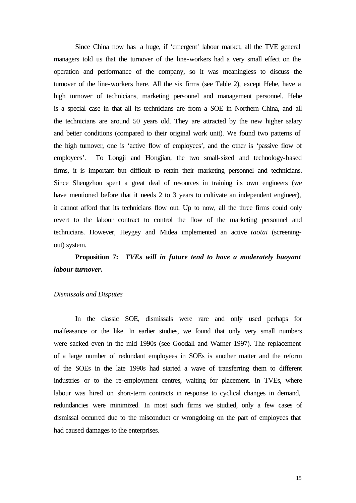Since China now has a huge, if 'emergent' labour market, all the TVE general managers told us that the turnover of the line-workers had a very small effect on the operation and performance of the company, so it was meaningless to discuss the turnover of the line-workers here. All the six firms (see Table 2), except Hehe, have a high turnover of technicians, marketing personnel and management personnel. Hehe is a special case in that all its technicians are from a SOE in Northern China, and all the technicians are around 50 years old. They are attracted by the new higher salary and better conditions (compared to their original work unit). We found two patterns of the high turnover, one is 'active flow of employees', and the other is 'passive flow of employees'. To Longji and Hongjian, the two small-sized and technology-based firms, it is important but difficult to retain their marketing personnel and technicians. Since Shengzhou spent a great deal of resources in training its own engineers (we have mentioned before that it needs 2 to 3 years to cultivate an independent engineer), it cannot afford that its technicians flow out. Up to now, all the three firms could only revert to the labour contract to control the flow of the marketing personnel and technicians. However, Heygey and Midea implemented an active *taotai* (screeningout) system.

# **Proposition 7:** *TVEs will in future tend to have a moderately buoyant labour turnover.*

#### *Dismissals and Disputes*

In the classic SOE, dismissals were rare and only used perhaps for malfeasance or the like. In earlier studies, we found that only very small numbers were sacked even in the mid 1990s (see Goodall and Warner 1997). The replacement of a large number of redundant employees in SOEs is another matter and the reform of the SOEs in the late 1990s had started a wave of transferring them to different industries or to the re-employment centres, waiting for placement. In TVEs, where labour was hired on short-term contracts in response to cyclical changes in demand, redundancies were minimized. In most such firms we studied, only a few cases of dismissal occurred due to the misconduct or wrongdoing on the part of employees that had caused damages to the enterprises.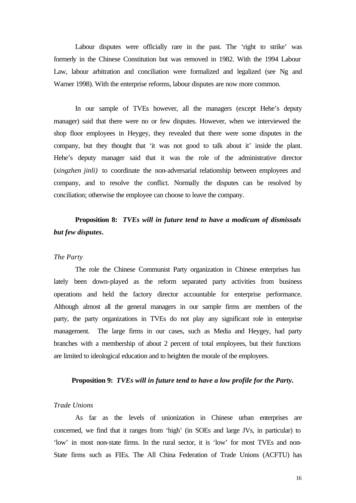Labour disputes were officially rare in the past. The 'right to strike' was formerly in the Chinese Constitution but was removed in 1982. With the 1994 Labour Law, labour arbitration and conciliation were formalized and legalized (see Ng and Warner 1998). With the enterprise reforms, labour disputes are now more common.

In our sample of TVEs however, all the managers (except Hehe's deputy manager) said that there were no or few disputes. However, when we interviewed the shop floor employees in Heygey, they revealed that there were some disputes in the company, but they thought that 'it was not good to talk about it' inside the plant. Hehe's deputy manager said that it was the role of the administrative director (*xingzhen jinli)* to coordinate the non-adversarial relationship between employees and company, and to resolve the conflict. Normally the disputes can be resolved by conciliation; otherwise the employee can choose to leave the company.

## **Proposition 8:** *TVEs will in future tend to have a modicum of dismissals but few disputes***.**

#### *The Party*

The role the Chinese Communist Party organization in Chinese enterprises has lately been down-played as the reform separated party activities from business operations and held the factory director accountable for enterprise performance. Although almost all the general managers in our sample firms are members of the party, the party organizations in TVEs do not play any significant role in enterprise management. The large firms in our cases, such as Media and Heygey, had party branches with a membership of about 2 percent of total employees, but their functions are limited to ideological education and to heighten the morale of the employees.

#### **Proposition 9:** *TVEs will in future tend to have a low profile for the Party.*

#### *Trade Unions*

As far as the levels of unionization in Chinese urban enterprises are concerned, we find that it ranges from 'high' (in SOEs and large JVs, in particular) to 'low' in most non-state firms. In the rural sector, it is 'low' for most TVEs and non-State firms such as FIEs. The All China Federation of Trade Unions (ACFTU) has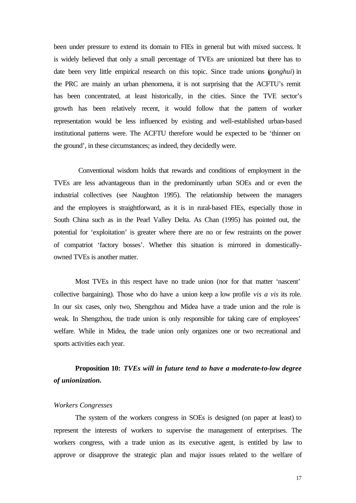been under pressure to extend its domain to FIEs in general but with mixed success. It is widely believed that only a small percentage of TVEs are unionized but there has to date been very little empirical research on this topic. Since trade unions (*gonghui*) in the PRC are mainly an urban phenomena, it is not surprising that the ACFTU's remit has been concentrated, at least historically, in the cities. Since the TVE sector's growth has been relatively recent, it would follow that the pattern of worker representation would be less influenced by existing and well-established urban-based institutional patterns were. The ACFTU therefore would be expected to be 'thinner on the ground', in these circumstances; as indeed, they decidedly were.

 Conventional wisdom holds that rewards and conditions of employment in the TVEs are less advantageous than in the predominantly urban SOEs and or even the industrial collectives (see Naughton 1995). The relationship between the managers and the employees is straightforward, as it is in rural-based FIEs, especially those in South China such as in the Pearl Valley Delta. As Chan (1995) has pointed out, the potential for 'exploitation' is greater where there are no or few restraints on the power of compatriot 'factory bosses'. Whether this situation is mirrored in domesticallyowned TVEs is another matter.

Most TVEs in this respect have no trade union (nor for that matter 'nascent' collective bargaining). Those who do have a union keep a low profile *vis a vis* its role. In our six cases, only two, Shengzhou and Midea have a trade union and the role is weak. In Shengzhou, the trade union is only responsible for taking care of employees' welfare. While in Midea, the trade union only organizes one or two recreational and sports activities each year.

### **Proposition 10:** *TVEs will in future tend to have a moderate-to-low degree of unionization.*

#### *Workers Congresses*

The system of the workers congress in SOEs is designed (on paper at least) to represent the interests of workers to supervise the management of enterprises. The workers congress, with a trade union as its executive agent, is entitled by law to approve or disapprove the strategic plan and major issues related to the welfare of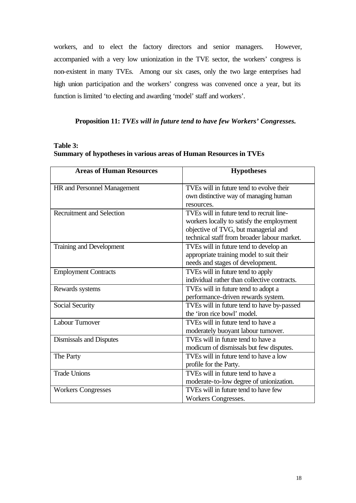workers, and to elect the factory directors and senior managers. However, accompanied with a very low unionization in the TVE sector, the workers' congress is non-existent in many TVEs. Among our six cases, only the two large enterprises had high union participation and the workers' congress was convened once a year, but its function is limited 'to electing and awarding 'model' staff and workers'.

#### **Proposition 11:** *TVEs will in future tend to have few Workers' Congresses.*

#### **Table 3: Summary of hypotheses in various areas of Human Resources in TVEs**

| <b>Areas of Human Resources</b>  | <b>Hypotheses</b>                            |
|----------------------------------|----------------------------------------------|
| HR and Personnel Management      | TVEs will in future tend to evolve their     |
|                                  | own distinctive way of managing human        |
|                                  | resources.                                   |
| <b>Recruitment and Selection</b> | TVEs will in future tend to recruit line-    |
|                                  | workers locally to satisfy the employment    |
|                                  | objective of TVG, but managerial and         |
|                                  | technical staff from broader labour market.  |
| Training and Development         | TVEs will in future tend to develop an       |
|                                  | appropriate training model to suit their     |
|                                  | needs and stages of development.             |
| <b>Employment Contracts</b>      | TVEs will in future tend to apply            |
|                                  | individual rather than collective contracts. |
| Rewards systems                  | TVEs will in future tend to adopt a          |
|                                  | performance-driven rewards system.           |
| Social Security                  | TVEs will in future tend to have by-passed   |
|                                  | the 'iron rice bowl' model.                  |
| <b>Labour Turnover</b>           | TVEs will in future tend to have a           |
|                                  | moderately buoyant labour turnover.          |
| Dismissals and Disputes          | TVEs will in future tend to have a           |
|                                  | modicum of dismissals but few disputes.      |
| The Party                        | TVEs will in future tend to have a low       |
|                                  | profile for the Party.                       |
| Trade Unions                     | TVEs will in future tend to have a           |
|                                  | moderate-to-low degree of unionization.      |
| <b>Workers Congresses</b>        | TVEs will in future tend to have few         |
|                                  | Workers Congresses.                          |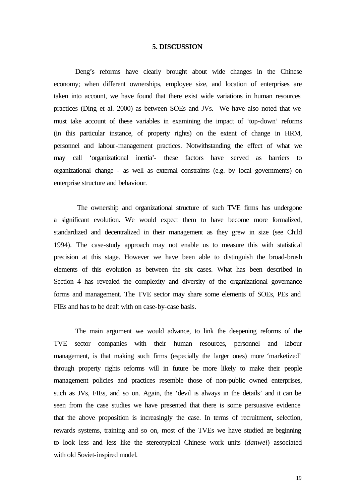#### **5. DISCUSSION**

Deng's reforms have clearly brought about wide changes in the Chinese economy; when different ownerships, employee size, and location of enterprises are taken into account, we have found that there exist wide variations in human resources practices (Ding et al. 2000) as between SOEs and JVs. We have also noted that we must take account of these variables in examining the impact of 'top-down' reforms (in this particular instance, of property rights) on the extent of change in HRM, personnel and labour-management practices. Notwithstanding the effect of what we may call 'organizational inertia'- these factors have served as barriers to organizational change - as well as external constraints (e.g. by local governments) on enterprise structure and behaviour.

 The ownership and organizational structure of such TVE firms has undergone a significant evolution. We would expect them to have become more formalized, standardized and decentralized in their management as they grew in size (see Child 1994). The case-study approach may not enable us to measure this with statistical precision at this stage. However we have been able to distinguish the broad-brush elements of this evolution as between the six cases. What has been described in Section 4 has revealed the complexity and diversity of the organizational governance forms and management. The TVE sector may share some elements of SOEs, PEs and FIEs and has to be dealt with on case-by-case basis.

The main argument we would advance, to link the deepening reforms of the TVE sector companies with their human resources, personnel and labour management, is that making such firms (especially the larger ones) more 'marketized' through property rights reforms will in future be more likely to make their people management policies and practices resemble those of non-public owned enterprises, such as JVs, FIEs, and so on. Again, the 'devil is always in the details' and it can be seen from the case studies we have presented that there is some persuasive evidence that the above proposition is increasingly the case. In terms of recruitment, selection, rewards systems, training and so on, most of the TVEs we have studied are beginning to look less and less like the stereotypical Chinese work units (*danwei*) associated with old Soviet-inspired model.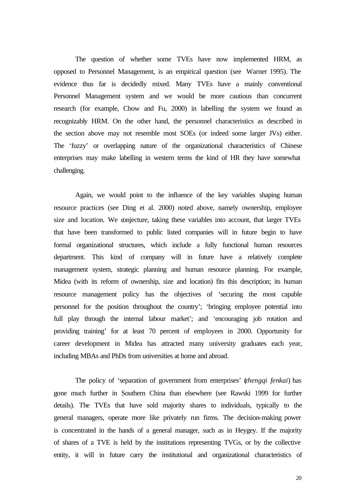The question of whether some TVEs have now implemented HRM, as opposed to Personnel Management, is an empirical question (see Warner 1995). The evidence thus far is decidedly mixed. Many TVEs have a mainly conventional Personnel Management system and we would be more cautious than concurrent research (for example, Chow and Fu, 2000) in labelling the system we found as recognizably HRM. On the other hand, the personnel characteristics as described in the section above may not resemble most SOEs (or indeed some larger JVs) either. The 'fuzzy' or overlapping nature of the organizational characteristics of Chinese enterprises may make labelling in western terms the kind of HR they have somewhat challenging.

Again, we would point to the influence of the key variables shaping human resource practices (see Ding et al. 2000) noted above, namely ownership, employee size and location. We conjecture, taking these variables into account, that larger TVEs that have been transformed to public listed companies will in future begin to have formal organizational structures, which include a fully functional human resources department. This kind of company will in future have a relatively complete management system, strategic planning and human resource planning. For example, Midea (with its reform of ownership, size and location) fits this description; its human resource management policy has the objectives of 'securing the most capable personnel for the position throughout the country'; 'bringing employee potential into full play through the internal labour market'; and 'encouraging job rotation and providing training' for at least 70 percent of employees in 2000. Opportunity for career development in Midea has attracted many university graduates each year, including MBAs and PhDs from universities at home and abroad.

The policy of 'separation of government from enterprises' (*zhengqi fenkai*) has gone much further in Southern China than elsewhere (see Rawski 1999 for further details). The TVEs that have sold majority shares to individuals, typically to the general managers, operate more like privately run firms. The decision-making power is concentrated in the hands of a general manager, such as in Heygey. If the majority of shares of a TVE is held by the institutions representing TVGs, or by the collective entity, it will in future carry the institutional and organizational characteristics of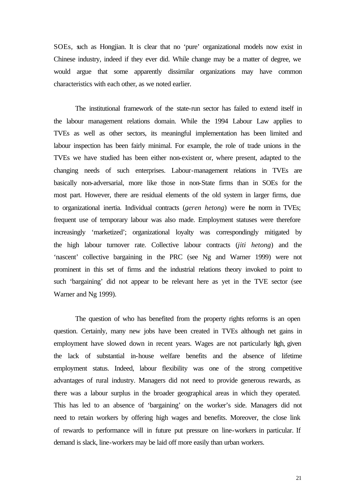SOEs, such as Hongjian. It is clear that no 'pure' organizational models now exist in Chinese industry, indeed if they ever did. While change may be a matter of degree, we would argue that some apparently dissimilar organizations may have common characteristics with each other, as we noted earlier.

The institutional framework of the state-run sector has failed to extend itself in the labour management relations domain. While the 1994 Labour Law applies to TVEs as well as other sectors, its meaningful implementation has been limited and labour inspection has been fairly minimal. For example, the role of trade unions in the TVEs we have studied has been either non-existent or, where present, adapted to the changing needs of such enterprises. Labour-management relations in TVEs are basically non-adversarial, more like those in non-State firms than in SOEs for the most part. However, there are residual elements of the old system in larger firms, due to organizational inertia. Individual contracts (*geren hetong*) were the norm in TVEs; frequent use of temporary labour was also made. Employment statuses were therefore increasingly 'marketized'; organizational loyalty was correspondingly mitigated by the high labour turnover rate. Collective labour contracts (*jiti hetong*) and the 'nascent' collective bargaining in the PRC (see Ng and Warner 1999) were not prominent in this set of firms and the industrial relations theory invoked to point to such 'bargaining' did not appear to be relevant here as yet in the TVE sector (see Warner and Ng 1999).

The question of who has benefited from the property rights reforms is an open question. Certainly, many new jobs have been created in TVEs although net gains in employment have slowed down in recent years. Wages are not particularly high, given the lack of substantial in-house welfare benefits and the absence of lifetime employment status. Indeed, labour flexibility was one of the strong competitive advantages of rural industry. Managers did not need to provide generous rewards, as there was a labour surplus in the broader geographical areas in which they operated. This has led to an absence of 'bargaining' on the worker's side. Managers did not need to retain workers by offering high wages and benefits. Moreover, the close link of rewards to performance will in future put pressure on line-workers in particular. If demand is slack, line-workers may be laid off more easily than urban workers.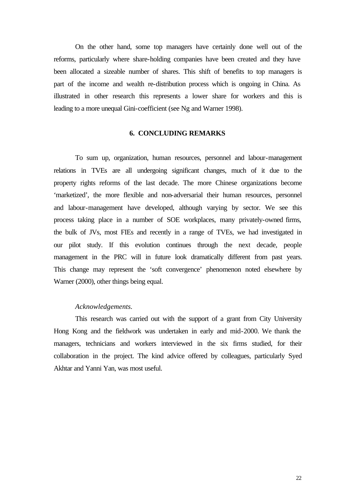On the other hand, some top managers have certainly done well out of the reforms, particularly where share-holding companies have been created and they have been allocated a sizeable number of shares. This shift of benefits to top managers is part of the income and wealth re-distribution process which is ongoing in China. As illustrated in other research this represents a lower share for workers and this is leading to a more unequal Gini-coefficient (see Ng and Warner 1998).

#### **6. CONCLUDING REMARKS**

To sum up, organization, human resources, personnel and labour-management relations in TVEs are all undergoing significant changes, much of it due to the property rights reforms of the last decade. The more Chinese organizations become 'marketized', the more flexible and non-adversarial their human resources, personnel and labour-management have developed, although varying by sector. We see this process taking place in a number of SOE workplaces, many privately-owned firms, the bulk of JVs, most FIEs and recently in a range of TVEs, we had investigated in our pilot study. If this evolution continues through the next decade, people management in the PRC will in future look dramatically different from past years. This change may represent the 'soft convergence' phenomenon noted elsewhere by Warner (2000), other things being equal.

#### *Acknowledgements.*

This research was carried out with the support of a grant from City University Hong Kong and the fieldwork was undertaken in early and mid-2000. We thank the managers, technicians and workers interviewed in the six firms studied, for their collaboration in the project. The kind advice offered by colleagues, particularly Syed Akhtar and Yanni Yan, was most useful.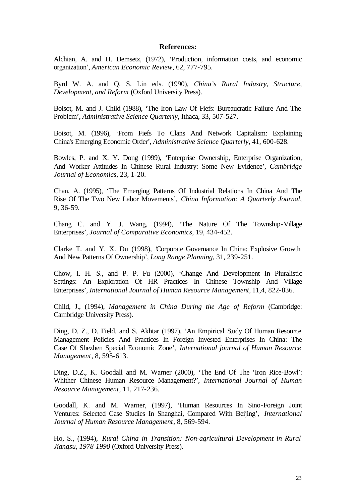#### **References:**

Alchian, A. and H. Demsetz, (1972), 'Production, information costs, and economic organization', *American Economic Review*, 62, 777-795.

Byrd W. A. and Q. S. Lin eds. (1990), *China's Rural Industry, Structure, Development, and Reform* (Oxford University Press).

Boisot, M. and J. Child (1988), 'The Iron Law Of Fiefs: Bureaucratic Failure And The Problem', *Administrative Science Quarterly*, Ithaca, 33, 507-527.

Boisot, M. (1996), 'From Fiefs To Clans And Network Capitalism: Explaining China's Emerging Economic Order', *Administrative Science Quarterly*, 41, 600-628.

Bowles, P. and X. Y. Dong (1999), 'Enterprise Ownership, Enterprise Organization, And Worker Attitudes In Chinese Rural Industry: Some New Evidence', *Cambridge Journal of Economics*, 23, 1-20.

Chan, A. (1995), 'The Emerging Patterns Of Industrial Relations In China And The Rise Of The Two New Labor Movements', *China Information: A Quarterly Journal*, 9, 36-59.

Chang C. and Y. J. Wang, (1994), 'The Nature Of The Township-Village Enterprises', *Journal of Comparative Economics*, 19, 434-452.

Clarke T. and Y. X. Du (1998), 'Corporate Governance In China: Explosive Growth And New Patterns Of Ownership', *Long Range Planning*, 31, 239-251.

Chow, I. H. S., and P. P. Fu (2000), 'Change And Development In Pluralistic Settings: An Exploration Of HR Practices In Chinese Township And Village Enterprises', *International Journal of Human Resource Management,* 11,4, 822-836.

Child, J., (1994), *Management in China During the Age of Reform* (Cambridge: Cambridge University Press).

Ding, D. Z., D. Field, and S. Akhtar (1997), 'An Empirical Study Of Human Resource Management Policies And Practices In Foreign Invested Enterprises In China: The Case Of Shezhen Special Economic Zone', *International journal of Human Resource Management*, 8, 595-613.

Ding, D.Z., K. Goodall and M. Warner (2000), 'The End Of The 'Iron Rice-Bowl': Whither Chinese Human Resource Management?', *International Journal of Human Resource Management*, 11, 217-236.

Goodall, K. and M. Warner, (1997), 'Human Resources In Sino-Foreign Joint Ventures: Selected Case Studies In Shanghai, Compared With Beijing', *International Journal of Human Resource Management*, 8, 569-594.

Ho, S., (1994), *Rural China in Transition: Non-agricultural Development in Rural Jiangsu, 1978-1990* (Oxford University Press).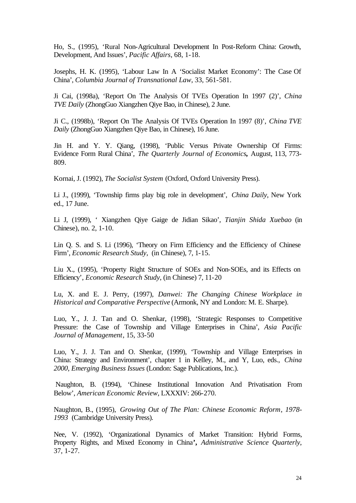Ho, S., (1995), 'Rural Non-Agricultural Development In Post-Reform China: Growth, Development, And Issues', *Pacific Affairs*, 68, 1-18.

Josephs, H. K. (1995), 'Labour Law In A 'Socialist Market Economy': The Case Of China', *Columbia Journal of Transnational Law*, 33, 561-581.

Ji Cai, (1998a), 'Report On The Analysis Of TVEs Operation In 1997 (2)', *China TVE Daily* (ZhongGuo Xiangzhen Qiye Bao, in Chinese), 2 June.

Ji C., (1998b), 'Report On The Analysis Of TVEs Operation In 1997 (8)', *China TVE Daily* (ZhongGuo Xiangzhen Qiye Bao, in Chinese), 16 June.

Jin H. and Y. Y. Qiang, (1998), 'Public Versus Private Ownership Of Firms: Evidence Form Rural China', *The Quarterly Journal of Economics,* August, 113, 773- 809.

Kornai, J. (1992), *The Socialist System* (Oxford, Oxford University Press).

Li J., (1999), 'Township firms play big role in development', *China Daily*, New York ed., 17 June.

Li J, (1999), ' Xiangzhen Qiye Gaige de Jidian Sikao', *Tianjin Shida Xuebao* (in Chinese), no. 2, 1-10.

Lin Q. S. and S. Li (1996), 'Theory on Firm Efficiency and the Efficiency of Chinese Firm', *Economic Research Study*, (in Chinese), 7, 1-15.

Liu X., (1995), 'Property Right Structure of SOEs and Non-SOEs, and its Effects on Efficiency', *Economic Research Study*, (in Chinese) 7, 11-20

Lu, X. and E. J. Perry, (1997), *Danwei: The Changing Chinese Workplace in Historical and Comparative Perspective* (Armonk, NY and London: M. E. Sharpe).

Luo, Y., J. J. Tan and O. Shenkar, (1998), 'Strategic Responses to Competitive Pressure: the Case of Township and Village Enterprises in China', *Asia Pacific Journal of Management*, 15, 33-50

Luo, Y., J. J. Tan and O. Shenkar, (1999), 'Township and Village Enterprises in China: Strategy and Environment', chapter 1 in Kelley, M., and Y, Luo, eds., *China 2000, Emerging Business Issues* (London: Sage Publications, Inc.).

 Naughton, B. (1994), 'Chinese Institutional Innovation And Privatisation From Below', *American Economic Review*, LXXXIV: 266-270.

Naughton, B., (1995), *Growing Out of The Plan: Chinese Economic Reform*, *1978- 1993* (Cambridge University Press).

Nee, V. (1992), 'Organizational Dynamics of Market Transition: Hybrid Forms, Property Rights, and Mixed Economy in China**',** *Administrative Science Quarterly*, 37, 1-27.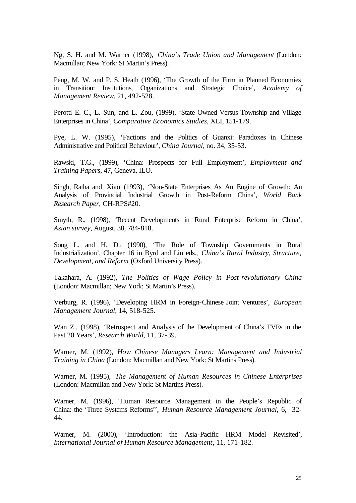Ng, S. H. and M. Warner (1998), *China's Trade Union and Management* (London: Macmillan; New York: St Martin's Press).

Peng, M. W. and P. S. Heath (1996), 'The Growth of the Firm in Planned Economies in Transition: Institutions, Organizations and Strategic Choice', *Academy of Management Review*, 21, 492-528.

Perotti E. C., L. Sun, and L. Zou, (1999), 'State-Owned Versus Township and Village Enterprises in China', *Comparative Economics Studies,* XLI, 151-179.

Pye, L. W. (1995), 'Factions and the Politics of Guanxi: Paradoxes in Chinese Administrative and Political Behaviour', *China Journal*, no. 34, 35-53.

Rawski, T.G., (1999), 'China: Prospects for Full Employment', *Employment and Training Papers*, 47, Geneva, ILO.

Singh, Ratha and Xiao (1993), 'Non-State Enterprises As An Engine of Growth: An Analysis of Provincial Industrial Growth in Post-Reform China', *World Bank Research Paper*, CH-RPS#20.

Smyth, R., (1998), 'Recent Developments in Rural Enterprise Reform in China', *Asian survey*, August, 38, 784-818.

Song L. and H. Du (1990), 'The Role of Township Governments in Rural Industrialization', Chapter 16 in Byrd and Lin eds., *China's Rural Industry, Structure, Development, and Reform* (Oxford University Press).

Takahara, A. (1992), *The Politics of Wage Policy in Post-revolutionary China* (London: Macmillan; New York: St Martin's Press).

Verburg, R. (1996), 'Developing HRM in Foreign-Chinese Joint Ventures', *European Management Journal*, 14, 518-525.

Wan Z., (1998), 'Retrospect and Analysis of the Development of China's TVEs in the Past 20 Years', *Research World*, 11, 37-39.

Warner, M. (1992), *How Chinese Managers Learn: Management and Industrial Training in China* (London: Macmillan and New York: St Martins Press).

Warner, M. (1995), *The Management of Human Resources in Chinese Enterprises* (London: Macmillan and New York: St Martins Press).

Warner, M. (1996), 'Human Resource Management in the People's Republic of China: the 'Three Systems Reforms'', *Human Resource Management Journal*, 6, 32- 44.

Warner, M. (2000), 'Introduction: the Asia-Pacific HRM Model Revisited', *International Journal of Human Resource Management*, 11, 171-182.